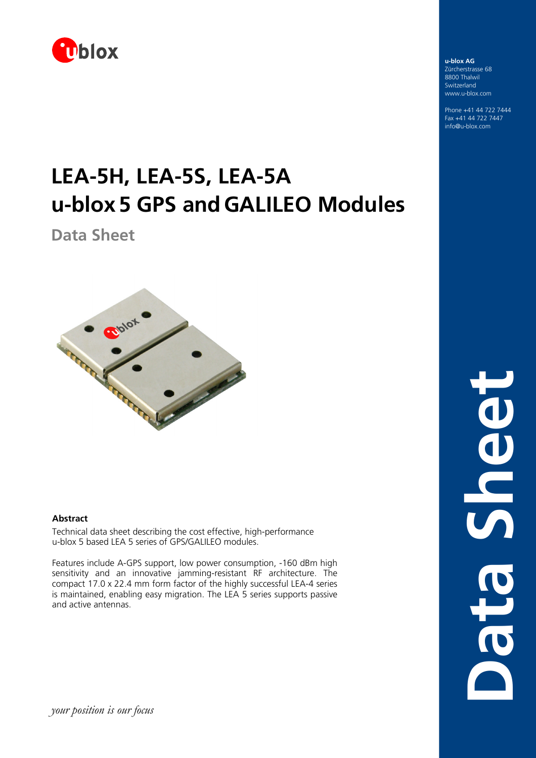

# **LEA-5H, LEA-5S, LEA-5A u-blox5 GPS andGALILEO Modules**

**Data Sheet** 



### **Abstract**

Technical data sheet describing the cost effective, high-performance u-blox 5 based LEA 5 series of GPS/GALILEO modules.

Features include A-GPS support, low power consumption, -160 dBm high sensitivity and an innovative jamming-resistant RF architecture. The compact 17.0 x 22.4 mm form factor of the highly successful LEA-4 series is maintained, enabling easy migration. The LEA 5 series supports passive and active antennas.

**u-blox AG**  Zürcherstrasse 68 8800 Thalwil Switzerland www.u-blox.com

Phone +41 44 722 7444 Fax +41 44 722 7447 info@u-blox.com

> **Data Sheet**OONS Data

*your position is our focus*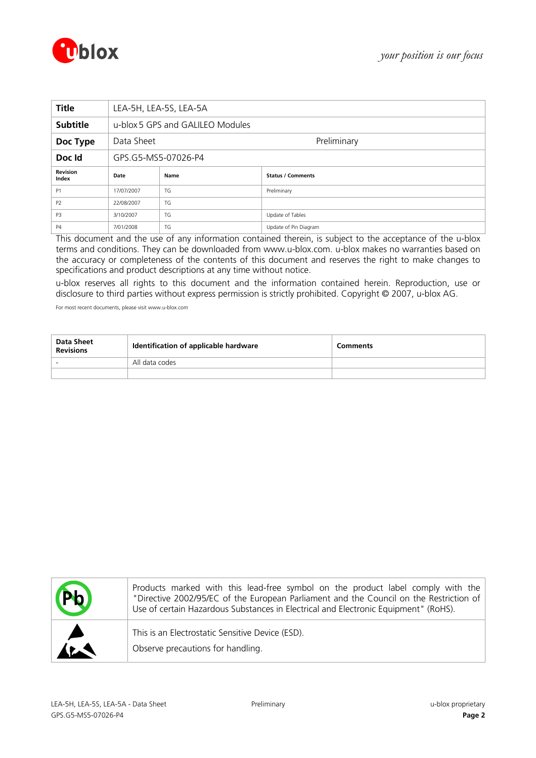



| <b>Title</b>             | LEA-5H, LEA-5S, LEA-5A                   |                                  |                       |  |  |  |  |
|--------------------------|------------------------------------------|----------------------------------|-----------------------|--|--|--|--|
| <b>Subtitle</b>          |                                          | u-blox 5 GPS and GALILEO Modules |                       |  |  |  |  |
| Doc Type                 | Data Sheet                               | Preliminary                      |                       |  |  |  |  |
| Doc Id                   |                                          | GPS.G5-MS5-07026-P4              |                       |  |  |  |  |
| <b>Revision</b><br>Index | <b>Status / Comments</b><br>Date<br>Name |                                  |                       |  |  |  |  |
| P <sub>1</sub>           | 17/07/2007                               | Preliminary<br>TG                |                       |  |  |  |  |
| P <sub>2</sub>           | TG<br>22/08/2007                         |                                  |                       |  |  |  |  |
| P <sub>3</sub>           | 3/10/2007                                | TG                               | Update of Tables      |  |  |  |  |
| <b>P4</b>                | 7/01/2008                                | TG                               | Update of Pin Diagram |  |  |  |  |

This document and the use of any information contained therein, is subject to the acceptance of the u-blox terms and conditions. They can be downloaded from [www.u-blox.com.](http://www.u-blox.com/) u-blox makes no warranties based on the accuracy or completeness of the contents of this document and reserves the right to make changes to specifications and product descriptions at any time without notice.

u-blox reserves all rights to this document and the information contained herein. Reproduction, use or disclosure to third parties without express permission is strictly prohibited. Copyright © 2007, u-blox AG.

For most recent documents, please visit [www.u-blox.com](http://www.u-blox.com/)

| Data Sheet<br><b>Revisions</b> | Identification of applicable hardware | <b>Comments</b> |
|--------------------------------|---------------------------------------|-----------------|
|                                | All data codes                        |                 |
|                                |                                       |                 |

| <b>DK</b>             | Products marked with this lead-free symbol on the product label comply with the<br>"Directive 2002/95/EC of the European Parliament and the Council on the Restriction of<br>Use of certain Hazardous Substances in Electrical and Electronic Equipment" (RoHS). |
|-----------------------|------------------------------------------------------------------------------------------------------------------------------------------------------------------------------------------------------------------------------------------------------------------|
| $\blacktriangleright$ | This is an Electrostatic Sensitive Device (ESD).<br>Observe precautions for handling.                                                                                                                                                                            |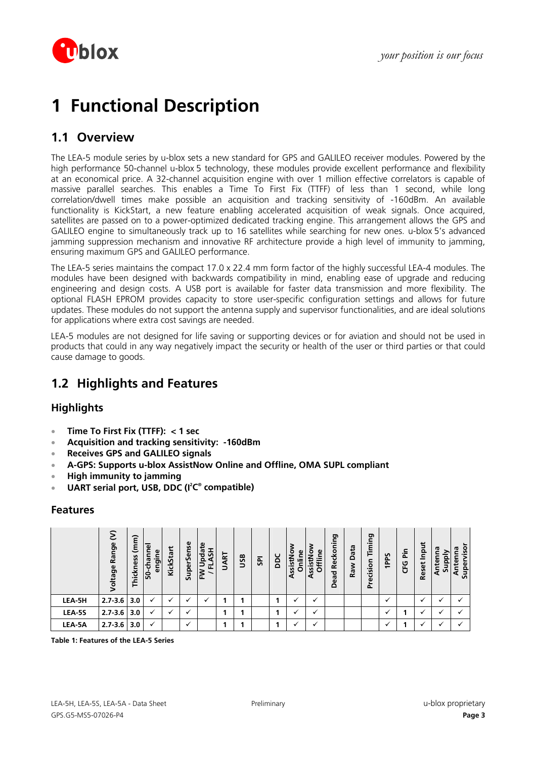

# **1 Functional Description**

## **1.1 Overview**

The LEA-5 module series by u-blox sets a new standard for GPS and GALILEO receiver modules. Powered by the high performance 50-channel u-blox 5 technology, these modules provide excellent performance and flexibility at an economical price. A 32-channel acquisition engine with over 1 million effective correlators is capable of massive parallel searches. This enables a Time To First Fix (TTFF) of less than 1 second, while long correlation/dwell times make possible an acquisition and tracking sensitivity of -160dBm. An available functionality is KickStart, a new feature enabling accelerated acquisition of weak signals. Once acquired, satellites are passed on to a power-optimized dedicated tracking engine. This arrangement allows the GPS and GALILEO engine to simultaneously track up to 16 satellites while searching for new ones. u-blox 5's advanced jamming suppression mechanism and innovative RF architecture provide a high level of immunity to jamming, ensuring maximum GPS and GALILEO performance.

The LEA-5 series maintains the compact 17.0 x 22.4 mm form factor of the highly successful LEA-4 modules. The modules have been designed with backwards compatibility in mind, enabling ease of upgrade and reducing engineering and design costs. A USB port is available for faster data transmission and more flexibility. The optional FLASH EPROM provides capacity to store user-specific configuration settings and allows for future updates. These modules do not support the antenna supply and supervisor functionalities, and are ideal solutions for applications where extra cost savings are needed.

LEA-5 modules are not designed for life saving or supporting devices or for aviation and should not be used in products that could in any way negatively impact the security or health of the user or third parties or that could cause damage to goods.

## **1.2 Highlights and Features**

## **Highlights**

- **Time To First Fix (TTFF): < 1 sec**
- **Acquisition and tracking sensitivity: -160dBm**
- **Receives GPS and GALILEO signals**
- **A-GPS: Supports u-blox AssistNow Online and Offline, OMA SUPL compliant**
- **High immunity to jamming**
- **UART serial port, USB, DDC (I<sup>2</sup>C<sup>®</sup> compatible)**

## **Features**

|               | ε<br>Range<br><b>/oltage</b> | - ~<br>ξ<br>Thickness | 50-channe<br>engine | ۳<br>KickStar | <b>SuperSense</b> | pdate<br>Ŧб<br>ᇎ<br>⋚ | UART | USB | <b>G</b> | pac | o<br>Online<br>ssistN<br>⋖ | 2<br>eni.<br>۰<br>$\overline{a}$<br>⋍<br>ō<br>SS<br>⋖ | Reckoning<br>Dead | Data<br>Raw | ರಾ<br>._<br><b>Timi</b><br>cision<br>Pre | 1PPS | Pin<br>U<br>Ğ | Input<br><b>Reset</b> | 29<br><b>Iddns</b><br>Anten | Supervisor<br>g<br>nten<br>đ |
|---------------|------------------------------|-----------------------|---------------------|---------------|-------------------|-----------------------|------|-----|----------|-----|----------------------------|-------------------------------------------------------|-------------------|-------------|------------------------------------------|------|---------------|-----------------------|-----------------------------|------------------------------|
| LEA-5H        | $2.7 - 3.6$                  | 3.0                   | ✓                   | ✓             | v                 |                       |      |     |          |     | v                          |                                                       |                   |             |                                          | ✓    |               |                       | $\cdot$                     |                              |
| <b>LEA-5S</b> | $2.7 - 3.6$                  | 3.0                   | ✓                   | v             | v                 |                       |      |     |          |     |                            |                                                       |                   |             |                                          |      |               |                       |                             |                              |
| LEA-5A        | $2.7 - 3.6$                  | 3.0                   | ✓                   |               | v                 |                       |      |     |          |     |                            |                                                       |                   |             |                                          |      |               |                       |                             |                              |

**Table 1: Features of the LEA-5 Series**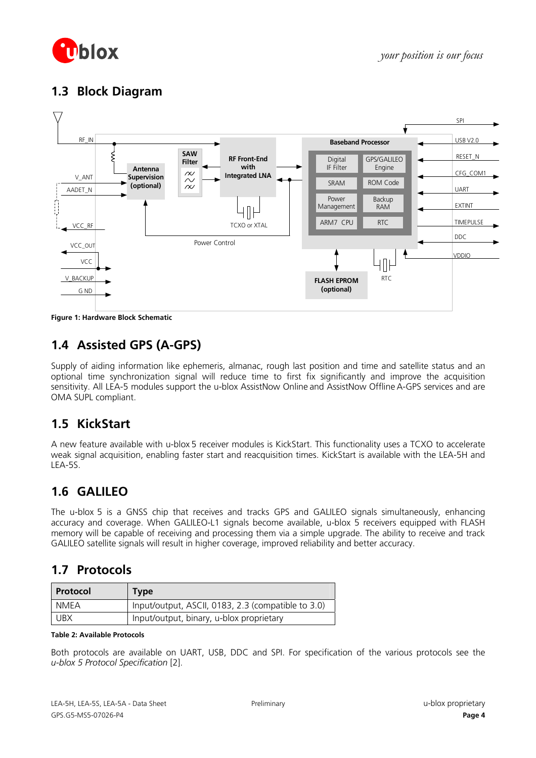

## **1.3 Block Diagram**



**Figure 1: Hardware Block Schematic** 

## **1.4 Assisted GPS (A-GPS)**

Supply of aiding information like ephemeris, almanac, rough last position and time and satellite status and an optional time synchronization signal will reduce time to first fix significantly and improve the acquisition sensitivity. All LEA-5 modules support the u-blox AssistNow Online and AssistNow Offline A-GPS services and are OMA SUPL compliant.

## **1.5 KickStart**

A new feature available with u-blox 5 receiver modules is KickStart. This functionality uses a TCXO to accelerate weak signal acquisition, enabling faster start and reacquisition times. KickStart is available with the LEA-5H and LEA-5S.

## **1.6 GALILEO**

The u-blox 5 is a GNSS chip that receives and tracks GPS and GALILEO signals simultaneously, enhancing accuracy and coverage. When GALILEO-L1 signals become available, u-blox 5 receivers equipped with FLASH memory will be capable of receiving and processing them via a simple upgrade. The ability to receive and track GALILEO satellite signals will result in higher coverage, improved reliability and better accuracy.

## **1.7 Protocols**

| Protocol   | <b>Type</b>                                        |
|------------|----------------------------------------------------|
| NMEA       | Input/output, ASCII, 0183, 2.3 (compatible to 3.0) |
| <b>UBX</b> | Input/output, binary, u-blox proprietary           |

### **Table 2: Available Protocols**

Both protocols are available on UART, USB, DDC and SPI. For specification of the various protocols see the *u-blox 5 Protocol Specification* [\[2\]](#page-13-0).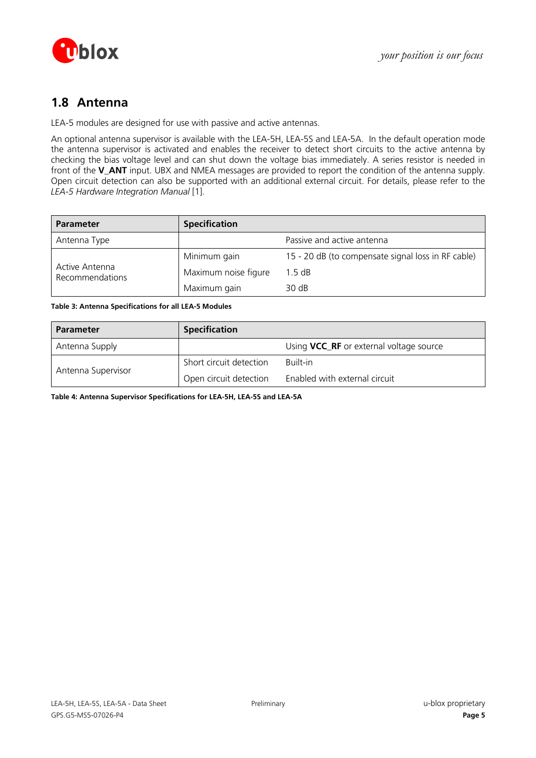

## **1.8 Antenna**

LEA-5 modules are designed for use with passive and active antennas.

An optional antenna supervisor is available with the LEA-5H, LEA-5S and LEA-5A. In the default operation mode the antenna supervisor is activated and enables the receiver to detect short circuits to the active antenna by checking the bias voltage level and can shut down the voltage bias immediately. A series resistor is needed in front of the **V\_ANT** input. UBX and NMEA messages are provided to report the condition of the antenna supply. Open circuit detection can also be supported with an additional external circuit. For details, please refer to the *LEA-5 Hardware Integration Manual* [\[1\].](#page-13-1)

| <b>Parameter</b>                  | <b>Specification</b> |                                                    |
|-----------------------------------|----------------------|----------------------------------------------------|
| Antenna Type                      |                      | Passive and active antenna                         |
|                                   | Minimum gain         | 15 - 20 dB (to compensate signal loss in RF cable) |
| Active Antenna<br>Recommendations | Maximum noise figure | 1.5 dB                                             |
|                                   | Maximum gain         | 30 dB                                              |

### **Table 3: Antenna Specifications for all LEA-5 Modules**

| <b>Parameter</b>   | <b>Specification</b>    |                                         |
|--------------------|-------------------------|-----------------------------------------|
| Antenna Supply     |                         | Using VCC_RF or external voltage source |
| Antenna Supervisor | Short circuit detection | Built-in                                |
|                    | Open circuit detection  | Enabled with external circuit           |

**Table 4: Antenna Supervisor Specifications for LEA-5H, LEA-5S and LEA-5A**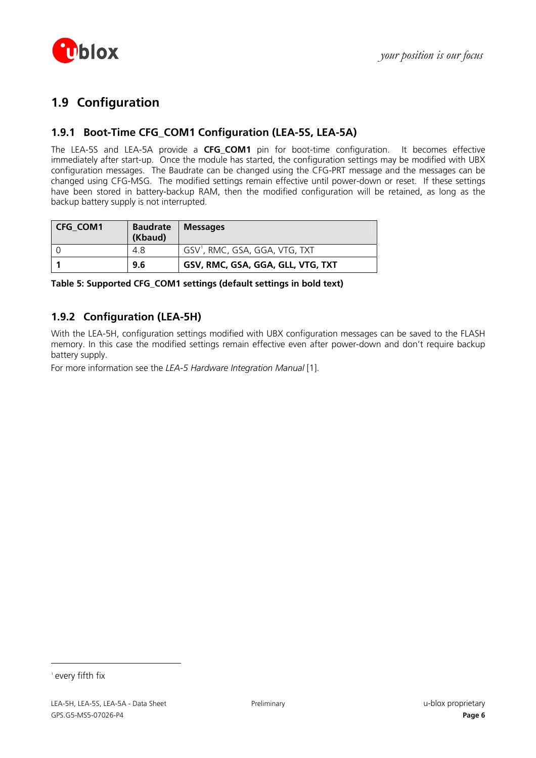

## **1.9 Configuration**

## **1.9.1 Boot-Time CFG\_COM1 Configuration (LEA-5S, LEA-5A)**

The LEA-5S and LEA-5A provide a **CFG COM1** pin for boot-time configuration. It becomes effective immediately after start-up. Once the module has started, the configuration settings may be modified with UBX configuration messages. The Baudrate can be changed using the CFG-PRT message and the messages can be changed using CFG-MSG. The modified settings remain effective until power-down or reset. If these settings have been stored in battery-backup RAM, then the modified configuration will be retained, as long as the backup battery supply is not interrupted.

| <b>CFG COM1</b> | <b>Baudrate</b> | <b>Messages</b>                            |
|-----------------|-----------------|--------------------------------------------|
|                 | (Kbaud)         |                                            |
|                 | 4.8             | GSV <sup>1</sup> , RMC, GSA, GGA, VTG, TXT |
|                 | 9.6             | GSV, RMC, GSA, GGA, GLL, VTG, TXT          |

**Table 5: Supported CFG\_COM1 settings (default settings in bold text)** 

## **1.9.2 Configuration (LEA-5H)**

With the LEA-5H, configuration settings modified with UBX configuration messages can be saved to the FLASH memory. In this case the modified settings remain effective even after power-down and don't require backup battery supply.

For more information see the *LEA-5 Hardware Integration Manual* [\[1\].](#page-13-1)

<span id="page-5-0"></span><sup>1</sup> every fifth fix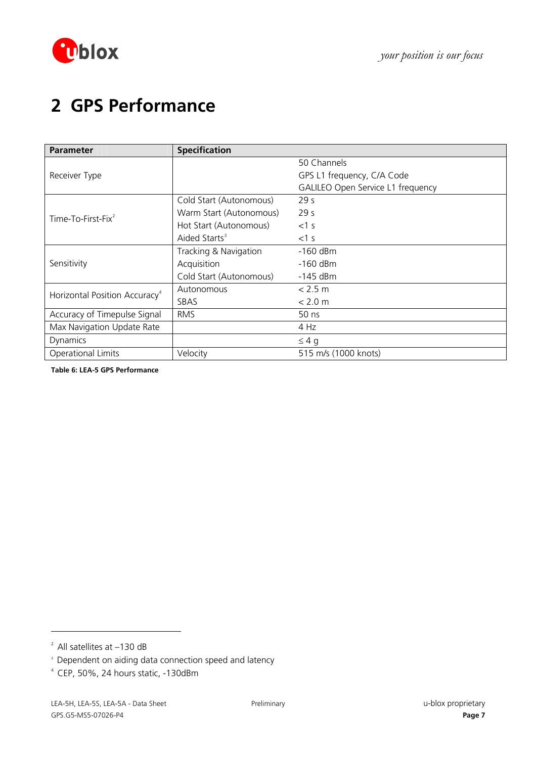

# **2 GPS Performance**

| <b>Parameter</b>                          | <b>Specification</b>      |                                   |
|-------------------------------------------|---------------------------|-----------------------------------|
|                                           |                           | 50 Channels                       |
| Receiver Type                             |                           | GPS L1 frequency, C/A Code        |
|                                           |                           | GALILEO Open Service L1 frequency |
|                                           | Cold Start (Autonomous)   | 29 <sub>s</sub>                   |
| Time-To-First-Fix <sup>2</sup>            | Warm Start (Autonomous)   | 29 <sub>s</sub>                   |
|                                           | Hot Start (Autonomous)    | $<$ 1 s                           |
|                                           | Aided Starts <sup>3</sup> | $<1$ s                            |
|                                           | Tracking & Navigation     | $-160$ dBm                        |
| Sensitivity                               | Acquisition               | $-160$ dBm                        |
|                                           | Cold Start (Autonomous)   | $-145$ dBm                        |
| Horizontal Position Accuracy <sup>4</sup> | Autonomous                | < 2.5 m                           |
|                                           | SBAS                      | < 2.0 m                           |
| Accuracy of Timepulse Signal              | <b>RMS</b>                | 50 ns                             |
| Max Navigation Update Rate                |                           | 4 Hz                              |
| Dynamics                                  |                           | $\leq 4$ g                        |
| <b>Operational Limits</b>                 | Velocity                  | 515 m/s (1000 knots)              |

**Table 6: LEA-5 GPS Performance** 

<span id="page-6-0"></span> $2$  All satellites at  $-130$  dB

<span id="page-6-1"></span><sup>3</sup> Dependent on aiding data connection speed and latency

<span id="page-6-2"></span><sup>4</sup> CEP, 50%, 24 hours static, -130dBm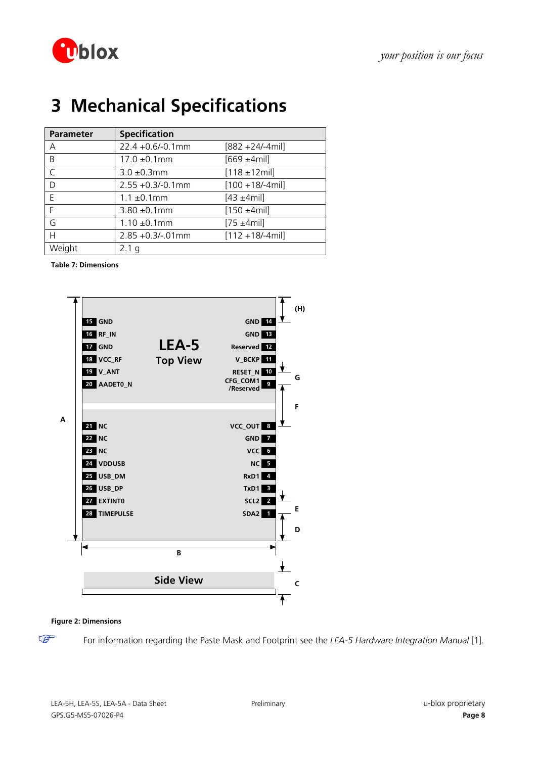

# **3 Mechanical Specifications**

| <b>Parameter</b> | <b>Specification</b> |                     |
|------------------|----------------------|---------------------|
| A                | 22.4 +0.6/-0.1mm     | $[882 + 24/-4$ mil] |
| B                | $17.0 \pm 0.1$ mm    | $[669 + 4$ mil]     |
| C                | $3.0 \pm 0.3$ mm     | $[118 \pm 12$ mil]  |
| D                | $2.55 + 0.3/-0.1$ mm | $[100 + 18/4$ mil]  |
| F                | $1.1 \pm 0.1$ mm     | $[43 + 4$ mil]      |
| F                | $3.80 \pm 0.1$ mm    | $[150 + 4$ mil]     |
| G                | $1.10 \pm 0.1$ mm    | $[75 + 4$ mil]      |
| H                | $2.85 + 0.3/- 01$ mm | $[112 + 18/4$ mil]  |
| Weight           | q                    |                     |

**Table 7: Dimensions** 



### **Figure 2: Dimensions**

 $\mathbb{Q}$ 

For information regarding the Paste Mask and Footprint see the *LEA-5 Hardware Integration Manual* [\[1\]](#page-13-1).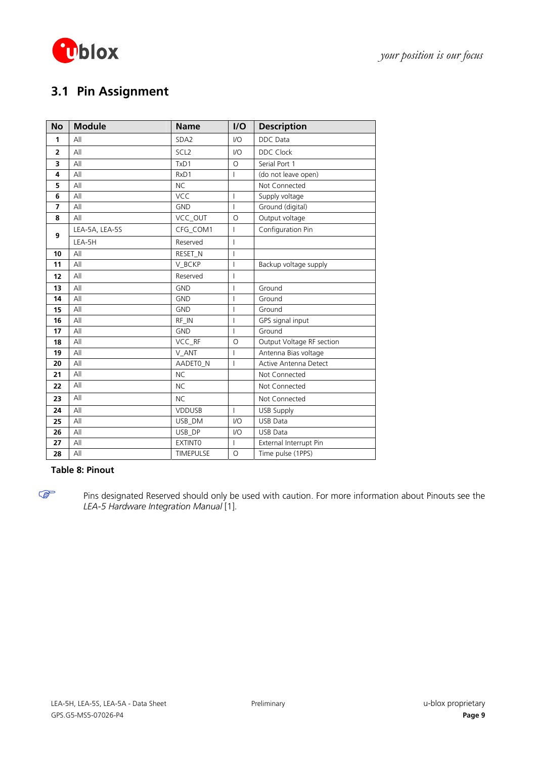

# **3.1 Pin Assignment**

| <b>No</b>      | <b>Module</b>  | <b>Name</b>      | I/O                      | <b>Description</b>        |
|----------------|----------------|------------------|--------------------------|---------------------------|
| 1              | All            | SDA <sub>2</sub> | $IVO$                    | <b>DDC</b> Data           |
| $\overline{2}$ | All            | SCL <sub>2</sub> | $IVO$                    | <b>DDC Clock</b>          |
| 3              | All            | TxD1             | $\Omega$                 | Serial Port 1             |
| 4              | All            | RxD1             | $\overline{1}$           | (do not leave open)       |
| 5              | All            | <b>NC</b>        |                          | Not Connected             |
| 6              | All            | VCC              | $\overline{1}$           | Supply voltage            |
| 7              | All            | <b>GND</b>       | $\overline{1}$           | Ground (digital)          |
| 8              | All            | VCC_OUT          | $\circ$                  | Output voltage            |
| 9              | LEA-5A, LEA-5S | CFG COM1         | $\overline{1}$           | Configuration Pin         |
|                | LEA-5H         | Reserved         | $\overline{1}$           |                           |
| 10             | All            | RESET_N          | $\mathbf{I}$             |                           |
| 11             | All            | V_BCKP           | $\overline{\phantom{a}}$ | Backup voltage supply     |
| 12             | All            | Reserved         | $\overline{1}$           |                           |
| 13             | All            | <b>GND</b>       | I                        | Ground                    |
| 14             | All            | <b>GND</b>       | $\overline{\phantom{a}}$ | Ground                    |
| 15             | All            | <b>GND</b>       | $\overline{1}$           | Ground                    |
| 16             | All            | RF IN            | $\overline{1}$           | GPS signal input          |
| 17             | All            | <b>GND</b>       | $\mathbf{I}$             | Ground                    |
| 18             | All            | VCC_RF           | $\circ$                  | Output Voltage RF section |
| 19             | All            | V ANT            | $\overline{1}$           | Antenna Bias voltage      |
| 20             | All            | AADETO_N         | $\overline{1}$           | Active Antenna Detect     |
| 21             | All            | <b>NC</b>        |                          | Not Connected             |
| 22             | All            | <b>NC</b>        |                          | Not Connected             |
| 23             | All            | <b>NC</b>        |                          | Not Connected             |
| 24             | All            | <b>VDDUSB</b>    | $\overline{1}$           | <b>USB Supply</b>         |
| 25             | All            | USB DM           | $IVO$                    | <b>USB Data</b>           |
| 26             | All            | USB DP           | 1/O                      | <b>USB Data</b>           |
| 27             | All            | <b>EXTINTO</b>   | T                        | External Interrupt Pin    |
| 28             | All            | <b>TIMEPULSE</b> | $\circ$                  | Time pulse (1PPS)         |

### **Table 8: Pinout**

Pins designated Reserved should only be used with caution. For more information about Pinouts see the *LEA-5 Hardware Integration Manual* [\[1\].](#page-13-1)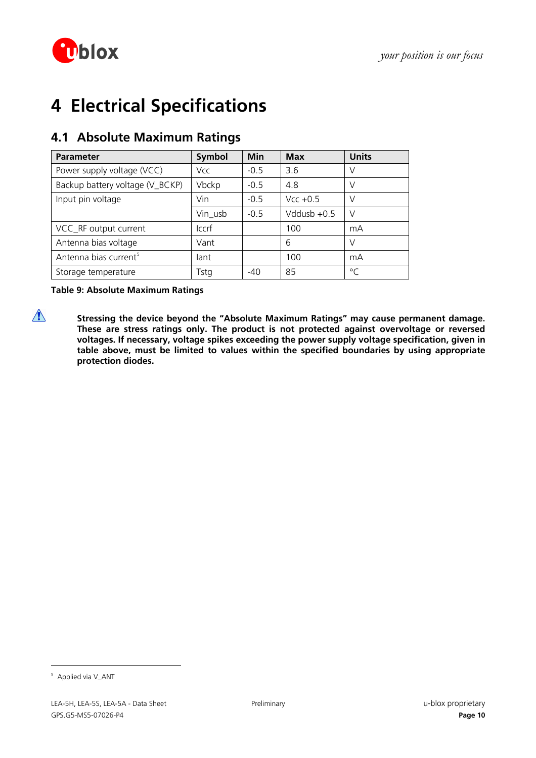

# **4 Electrical Specifications**

| <b>Parameter</b>                  | <b>Symbol</b> | <b>Min</b> | <b>Max</b>    | <b>Units</b> |
|-----------------------------------|---------------|------------|---------------|--------------|
| Power supply voltage (VCC)        | Vcc           | $-0.5$     | 3.6           | V            |
| Backup battery voltage (V_BCKP)   | Vbckp         | $-0.5$     | 4.8           | V            |
| Input pin voltage                 | Vin           | $-0.5$     | $Vcc + 0.5$   | V            |
|                                   | Vin_usb       | $-0.5$     | Vddusb $+0.5$ | V            |
| VCC_RF output current             | <b>Iccrf</b>  |            | 100           | mA           |
| Antenna bias voltage              | Vant          |            | 6             | V            |
| Antenna bias current <sup>5</sup> | lant          |            | 100           | mA           |
| Storage temperature               | Tstg          | $-40$      | 85            | $\circ$      |

## **4.1 Absolute Maximum Ratings**

**Table 9: Absolute Maximum Ratings** 

**1** Stressing the device beyond the "Absolute Maximum Ratings" may cause permanent damage. **These are stress ratings only. The product is not protected against overvoltage or reversed voltages. If necessary, voltage spikes exceeding the power supply voltage specification, given in table above, must be limited to values within the specified boundaries by using appropriate protection diodes.** 

<span id="page-9-0"></span><sup>&</sup>lt;sup>5</sup> Applied via V\_ANT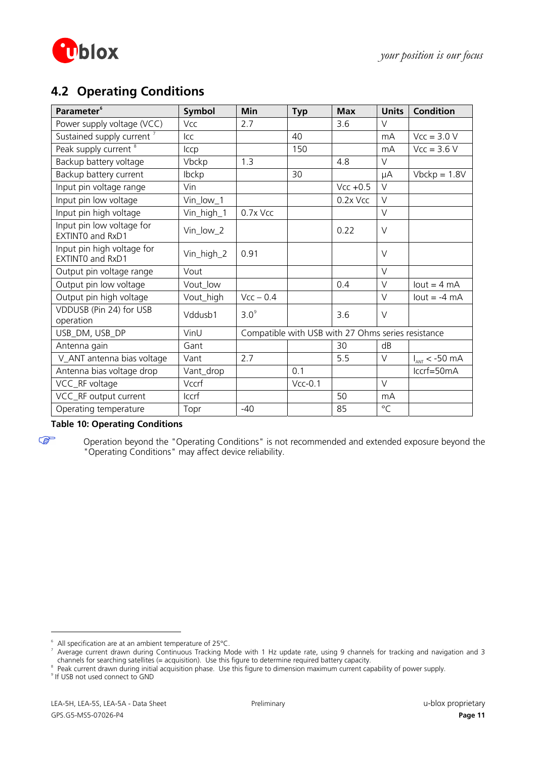

## **4.2 Operating Conditions**

| Parameter <sup>6</sup>                         | Symbol     | <b>Min</b>                                         | <b>Typ</b> | <b>Max</b>  | <b>Units</b>    | <b>Condition</b>      |
|------------------------------------------------|------------|----------------------------------------------------|------------|-------------|-----------------|-----------------------|
| Power supply voltage (VCC)                     | Vcc        | 2.7                                                |            | 3.6         | V               |                       |
| Sustained supply current <sup>7</sup>          | <b>ICC</b> |                                                    | 40         |             | m <sub>A</sub>  | $Vcc = 3.0 V$         |
| Peak supply current <sup>8</sup>               | Iccp       |                                                    | 150        |             | mA              | $Vcc = 3.6 V$         |
| Backup battery voltage                         | Vbckp      | 1.3                                                |            | 4.8         | $\vee$          |                       |
| Backup battery current                         | Ibckp      |                                                    | 30         |             | μA              | $Vbckp = 1.8V$        |
| Input pin voltage range                        | Vin        |                                                    |            | $Vcc + 0.5$ | $\vee$          |                       |
| Input pin low voltage                          | Vin_low_1  |                                                    |            | 0.2x Vcc    | $\vee$          |                       |
| Input pin high voltage                         | Vin_high_1 | 0.7x Vcc                                           |            |             | $\vee$          |                       |
| Input pin low voltage for<br>EXTINTO and RxD1  | Vin_low_2  |                                                    |            | 0.22        | $\vee$          |                       |
| Input pin high voltage for<br>EXTINTO and RxD1 | Vin_high_2 | 0.91                                               |            |             | $\vee$          |                       |
| Output pin voltage range                       | Vout       |                                                    |            |             | $\vee$          |                       |
| Output pin low voltage                         | Vout_low   |                                                    |            | 0.4         | $\vee$          | lout = $4 \text{ mA}$ |
| Output pin high voltage                        | Vout_high  | $Vcc - 0.4$                                        |            |             | $\vee$          | $lout = -4 mA$        |
| VDDUSB (Pin 24) for USB<br>operation           | Vddusb1    | 3.0 <sup>9</sup>                                   |            | 3.6         | $\vee$          |                       |
| USB_DM, USB_DP                                 | VinU       | Compatible with USB with 27 Ohms series resistance |            |             |                 |                       |
| Antenna gain                                   | Gant       |                                                    |            | 30          | dB              |                       |
| V_ANT antenna bias voltage                     | Vant       | 2.7                                                |            | 5.5         | V               | $I_{ANT}$ < -50 mA    |
| Antenna bias voltage drop                      | Vant_drop  |                                                    | 0.1        |             |                 | $lccrf = 50mA$        |
| VCC_RF voltage                                 | Vccrf      |                                                    | $Vcc-0.1$  |             | $\vee$          |                       |
| VCC_RF output current                          | Iccrf      |                                                    |            | 50          | mA              |                       |
| Operating temperature                          | Topr       | $-40$                                              |            | 85          | $\rm ^{\circ}C$ |                       |

## **Table 10: Operating Conditions**

COP

Operation beyond the "Operating Conditions" is not recommended and extended exposure beyond the "Operating Conditions" may affect device reliability.

<span id="page-10-0"></span><sup>6</sup> All specification are at an ambient temperature of 25°C.

<span id="page-10-1"></span><sup>7</sup> Average current drawn during Continuous Tracking Mode with 1 Hz update rate, using 9 channels for tracking and navigation and 3 channels for searching satellites (= acquisition). Use this figure to determine required battery capacity.

<sup>&</sup>lt;sup>8</sup> Peak current drawn during initial acquisition phase. Use this figure to dimension maximum current capability of power supply.

<span id="page-10-3"></span><span id="page-10-2"></span><sup>&</sup>lt;sup>9</sup> If USB not used connect to GND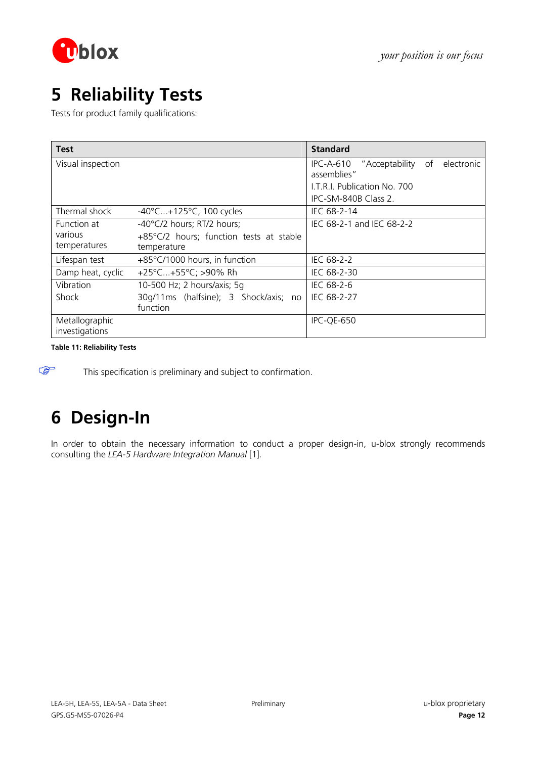

# **5 Reliability Tests**

Tests for product family qualifications:

| Test              |                                         | <b>Standard</b>                                          |
|-------------------|-----------------------------------------|----------------------------------------------------------|
| Visual inspection |                                         | IPC-A-610 "Acceptability<br>of electronic<br>assemblies" |
|                   |                                         | LT.R.I. Publication No. 700                              |
|                   |                                         | IPC-SM-840B Class 2.                                     |
| Thermal shock     | $-40^{\circ}$ C+125°C, 100 cycles       | IEC 68-2-14                                              |
| Function at       | -40°C/2 hours; RT/2 hours;              | IEC 68-2-1 and IEC 68-2-2                                |
| various           | +85°C/2 hours; function tests at stable |                                                          |
| temperatures      | temperature                             |                                                          |
| Lifespan test     | +85°C/1000 hours, in function           | IEC 68-2-2                                               |
| Damp heat, cyclic | +25°C+55°C; >90% Rh                     | IEC 68-2-30                                              |
| Vibration         | 10-500 Hz; 2 hours/axis; 5q             | IEC 68-2-6                                               |
| <b>Shock</b>      | 30g/11ms (halfsine); 3 Shock/axis; no   | IEC 68-2-27                                              |
|                   | function                                |                                                          |
| Metallographic    |                                         | IPC-QE-650                                               |
| investigations    |                                         |                                                          |

**Table 11: Reliability Tests** 

**PED** 

This specification is preliminary and subject to confirmation.

# **6 Design-In**

In order to obtain the necessary information to conduct a proper design-in, u-blox strongly recommends consulting the *LEA-5 Hardware Integration Manual* [\[1\].](#page-13-1)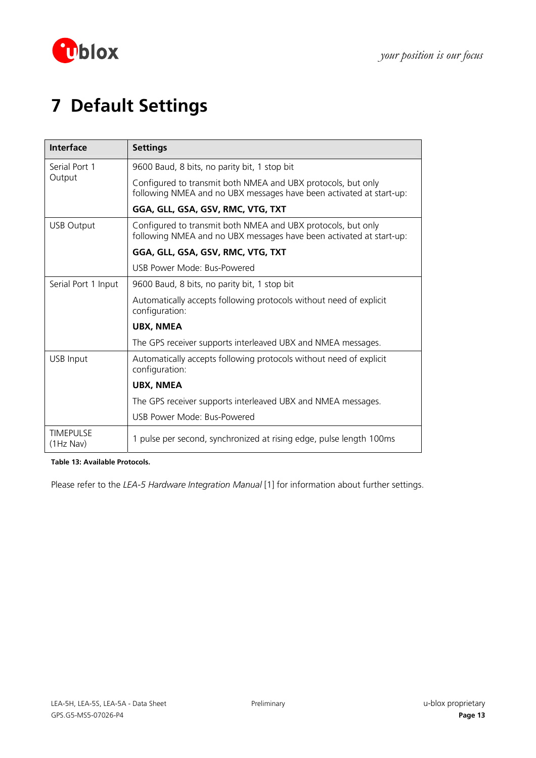

# **7 Default Settings**

| <b>Interface</b>                | <b>Settings</b>                                                                                                                     |
|---------------------------------|-------------------------------------------------------------------------------------------------------------------------------------|
| Serial Port 1<br>Output         | 9600 Baud, 8 bits, no parity bit, 1 stop bit                                                                                        |
|                                 | Configured to transmit both NMEA and UBX protocols, but only<br>following NMEA and no UBX messages have been activated at start-up: |
|                                 | GGA, GLL, GSA, GSV, RMC, VTG, TXT                                                                                                   |
| <b>USB Output</b>               | Configured to transmit both NMEA and UBX protocols, but only<br>following NMEA and no UBX messages have been activated at start-up: |
|                                 | GGA, GLL, GSA, GSV, RMC, VTG, TXT                                                                                                   |
|                                 | USB Power Mode: Bus-Powered                                                                                                         |
| Serial Port 1 Input             | 9600 Baud, 8 bits, no parity bit, 1 stop bit                                                                                        |
|                                 | Automatically accepts following protocols without need of explicit<br>configuration:                                                |
|                                 | <b>UBX, NMEA</b>                                                                                                                    |
|                                 | The GPS receiver supports interleaved UBX and NMEA messages.                                                                        |
| <b>USB Input</b>                | Automatically accepts following protocols without need of explicit<br>configuration:                                                |
|                                 | <b>UBX, NMEA</b>                                                                                                                    |
|                                 | The GPS receiver supports interleaved UBX and NMEA messages.                                                                        |
|                                 | USB Power Mode: Bus-Powered                                                                                                         |
| <b>TIMEPULSE</b><br>$(1Hz$ Nav) | 1 pulse per second, synchronized at rising edge, pulse length 100ms                                                                 |

**Table 13: Available Protocols.** 

Please refer to the *LEA-5 Hardware Integration Manual* [1] for information about further settings.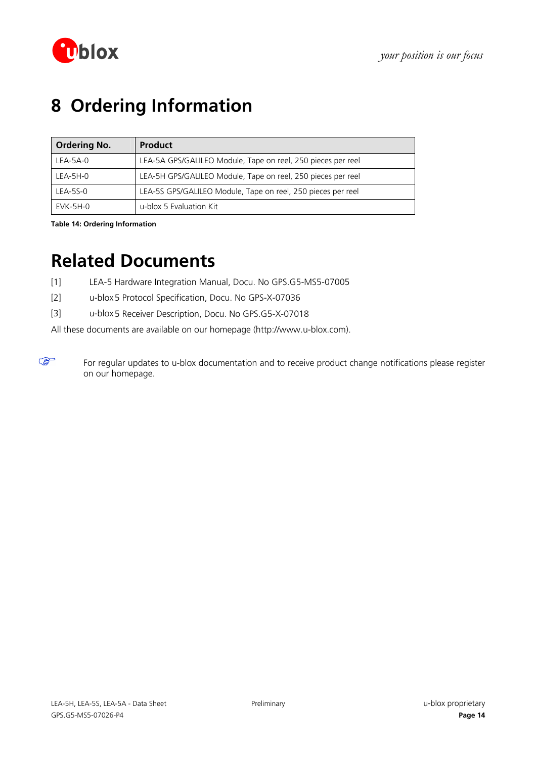

# **8 Ordering Information**

| <b>Ordering No.</b> | <b>Product</b>                                               |
|---------------------|--------------------------------------------------------------|
| LEA-5A-0            | LEA-5A GPS/GALILEO Module, Tape on reel, 250 pieces per reel |
| $LEA-5H-0$          | LEA-5H GPS/GALILEO Module, Tape on reel, 250 pieces per reel |
| LEA-5S-0            | LEA-5S GPS/GALILEO Module, Tape on reel, 250 pieces per reel |
| EVK-5H-0            | u-blox 5 Evaluation Kit                                      |

**Table 14: Ordering Information** 

 $\mathbb{F}$ 

# **Related Documents**

- <span id="page-13-1"></span>[1] LEA-5 Hardware Integration Manual, Docu. No GPS.G5-MS5-07005
- <span id="page-13-0"></span>[2] u-blox5 Protocol Specification, Docu. No GPS-X-07036
- [3] u-blox5 Receiver Description, Docu. No GPS.G5-X-07018

All these documents are available on our homepage [\(http://www.u-blox.com](http://www.u-blox.ch/)).

For regular updates to u-blox documentation and to receive product change notifications please register on our homepage.